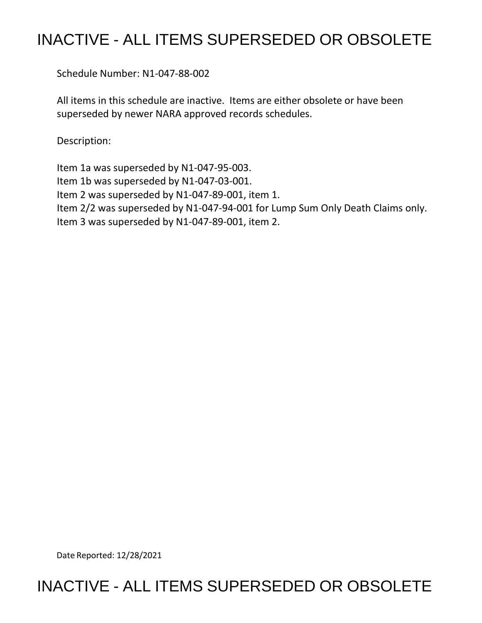# INACTIVE - ALL ITEMS SUPERSEDED OR OBSOLETE

Schedule Number: N1-047-88-002

 All items in this schedule are inactive. Items are either obsolete or have been superseded by newer NARA approved records schedules.

Description:

 Item 1a was superseded by N1-047-95-003. Item 1b was superseded by N1-047-03-001. Item 2 was superseded by N1-047-89-001, item 1. Item 2/2 was superseded by N1-047-94-001 for Lump Sum Only Death Claims only. Item 3 was superseded by N1-047-89-001, item 2.

Date Reported: 12/28/2021

# INACTIVE - ALL ITEMS SUPERSEDED OR OBSOLETE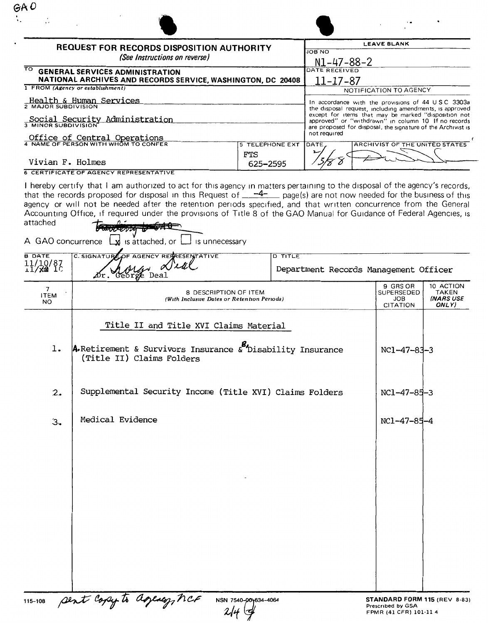| <b>REQUEST FOR RECORDS DISPOSITION AUTHORITY</b>                  |                                                                                                                                                                                                                                                                                                                                                                                                                                                                                                                                                                              |                                                         |                | <b>LEAVE BLANK</b><br><b>JOB NO</b>                                                                                                                                  |                                                 |  |
|-------------------------------------------------------------------|------------------------------------------------------------------------------------------------------------------------------------------------------------------------------------------------------------------------------------------------------------------------------------------------------------------------------------------------------------------------------------------------------------------------------------------------------------------------------------------------------------------------------------------------------------------------------|---------------------------------------------------------|----------------|----------------------------------------------------------------------------------------------------------------------------------------------------------------------|-------------------------------------------------|--|
|                                                                   | (See Instructions on reverse)                                                                                                                                                                                                                                                                                                                                                                                                                                                                                                                                                |                                                         | $N1-47-88-2$   |                                                                                                                                                                      |                                                 |  |
| $\overline{\text{TO}}$                                            | <b>GENERAL SERVICES ADMINISTRATION</b><br>NATIONAL ARCHIVES AND RECORDS SERVICE, WASHINGTON, DC 20408                                                                                                                                                                                                                                                                                                                                                                                                                                                                        |                                                         | $11 - 17 - 87$ |                                                                                                                                                                      |                                                 |  |
|                                                                   | 1 FROM (Agency or establishment)                                                                                                                                                                                                                                                                                                                                                                                                                                                                                                                                             |                                                         |                | NOTIFICATION TO AGENCY                                                                                                                                               |                                                 |  |
|                                                                   | Health & Human Services                                                                                                                                                                                                                                                                                                                                                                                                                                                                                                                                                      |                                                         |                | In accordance with the provisions of 44 USC 3303a<br>the disposal request, including amendments, is approved<br>except for items that may be marked "disposition not |                                                 |  |
| Social Security Administration                                    |                                                                                                                                                                                                                                                                                                                                                                                                                                                                                                                                                                              |                                                         | not required   | approved" or "withdrawn" in column 10 If no records<br>are proposed for disposal, the signature of the Archivist is                                                  |                                                 |  |
| Office of Central Operations<br><b>5 TELEPHONE EXT</b>            |                                                                                                                                                                                                                                                                                                                                                                                                                                                                                                                                                                              |                                                         | DATE           | <b>ARCHIVIST OF THE UNITED STATES</b>                                                                                                                                |                                                 |  |
| Vivian F. Holmes<br><b>6 CERTIFICATE OF AGENCY REPRESENTATIVE</b> |                                                                                                                                                                                                                                                                                                                                                                                                                                                                                                                                                                              | <b>FTS</b><br>625-2595                                  |                |                                                                                                                                                                      |                                                 |  |
| attached<br>A GAO concurrence                                     | I hereby certify that I am authorized to act for this agency in matters pertaining to the disposal of the agency's records,<br>that the records proposed for disposal in this Request of $-4$ page(s) are not now needed for the business of this<br>agency or will not be needed after the retention periods specified, and that written concurrence from the General<br>Accounting Office, if required under the provisions of Title 8 of the GAO Manual for Guidance of Federal Agencies, is<br><b>STROP ZIVITA</b><br>$\mathbf{x}$ is attached, or $\Box$ is unnecessary |                                                         |                |                                                                                                                                                                      |                                                 |  |
| <b>B DATE</b><br>$11/10/87$<br>$11/10$                            | C. SIGNATURE OF AGENCY REFRESENTATIVE<br>Љr.<br>George Deal                                                                                                                                                                                                                                                                                                                                                                                                                                                                                                                  | <b>D TITLE</b>                                          |                | Department Records Management Officer                                                                                                                                |                                                 |  |
| $\overline{7}$<br><b>ITEM</b><br>NO.                              | 8 DESCRIPTION OF ITEM<br>(With Inclusive Dates or Retention Periods)                                                                                                                                                                                                                                                                                                                                                                                                                                                                                                         |                                                         |                | 9 GRS OR<br><b>SUPERSEDED</b><br><b>JOB</b><br>CITATION                                                                                                              | 10 ACTION<br><b>TAKEN</b><br>(NARS USE<br>ONLY) |  |
|                                                                   | Title II and Title XVI Claims Material                                                                                                                                                                                                                                                                                                                                                                                                                                                                                                                                       |                                                         |                |                                                                                                                                                                      |                                                 |  |
| ı.                                                                | A.Retirement & Survivors Insurance & Disability Insurance<br>(Title II) Claims Folders                                                                                                                                                                                                                                                                                                                                                                                                                                                                                       |                                                         |                | NC1-47-83-3                                                                                                                                                          |                                                 |  |
| 2.                                                                |                                                                                                                                                                                                                                                                                                                                                                                                                                                                                                                                                                              | Supplemental Security Income (Title XVI) Claims Folders |                |                                                                                                                                                                      | NC1-47-85-3                                     |  |
| 3.                                                                | Medical Evidence                                                                                                                                                                                                                                                                                                                                                                                                                                                                                                                                                             |                                                         |                | NC1-47-85-4                                                                                                                                                          |                                                 |  |
|                                                                   |                                                                                                                                                                                                                                                                                                                                                                                                                                                                                                                                                                              |                                                         |                |                                                                                                                                                                      |                                                 |  |
|                                                                   |                                                                                                                                                                                                                                                                                                                                                                                                                                                                                                                                                                              |                                                         |                |                                                                                                                                                                      |                                                 |  |
|                                                                   |                                                                                                                                                                                                                                                                                                                                                                                                                                                                                                                                                                              |                                                         |                |                                                                                                                                                                      |                                                 |  |
|                                                                   |                                                                                                                                                                                                                                                                                                                                                                                                                                                                                                                                                                              |                                                         |                |                                                                                                                                                                      |                                                 |  |
|                                                                   |                                                                                                                                                                                                                                                                                                                                                                                                                                                                                                                                                                              |                                                         |                |                                                                                                                                                                      |                                                 |  |
|                                                                   |                                                                                                                                                                                                                                                                                                                                                                                                                                                                                                                                                                              |                                                         |                |                                                                                                                                                                      |                                                 |  |
|                                                                   |                                                                                                                                                                                                                                                                                                                                                                                                                                                                                                                                                                              |                                                         |                |                                                                                                                                                                      |                                                 |  |
|                                                                   |                                                                                                                                                                                                                                                                                                                                                                                                                                                                                                                                                                              |                                                         |                |                                                                                                                                                                      |                                                 |  |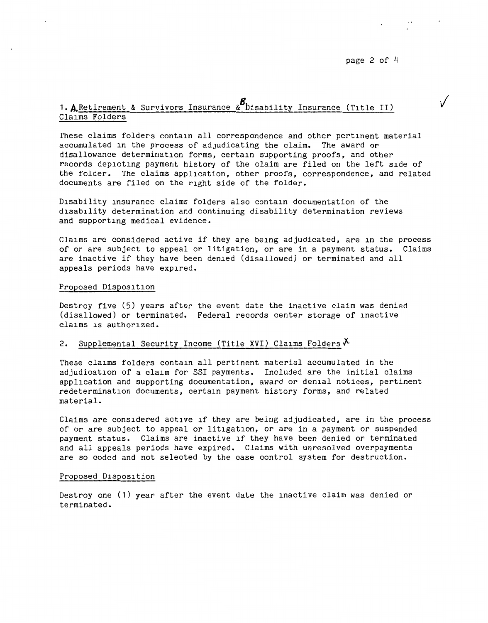page 2 of 4

# **1.** A, Retirement & Survivors Insurance  ${}^{\mathcal{B}}$  bisability Insurance (Title II) Claims Folders

These claims folders contain all correspondence and other pertinent material accumulated in the process of adJudicating the claim. The award or disallowance determination forms, certain supporting proofs, and other records depicting payment history of the claim are filed on the left side of the folder. The claims application, other proofs, correspondence, and related documents are filed on the right side of the folder.

Disability insurance claims folders also contain documentation of the disability determination and continuing disability determination reviews and supporting medical evidence.

Claims are considered active if they are being adjudicated, are in the process of or are subject to appeal or litigation, or are in a payment status. Claims are inactive if they have been denied (disallowed) or terminated and all appeals periods have expired.

#### Proposed Disposition

Destroy five (5) years after the event date the inactive claim was denied (disallowed) or terminated. Federal records center storage of inactive claims is authorized.

# 2. Supplemental Security Income (Title XVI) Claims Folders  $\lambda$

These claims folders contain all pertinent material accumulated in the adjudication of a claim for SSI payments. Included are the initial claims application and supporting documentation, award or denial notices, pertinent redetermination documents, certain payment history forms, and related material.

Claims are considered active if they are being adjudicated, are in the process of or are subject to appeal or litigation, or are in a payment or suspended payment status. Claims are inactive if they have been denied or terminated and all appeals periods have expired. Claims with unresolved overpayments are so coded and not selected by the case control system for destruction.

#### Proposed Disposition

Destroy one (1) year after the event date the inactive claim was denied or terminated.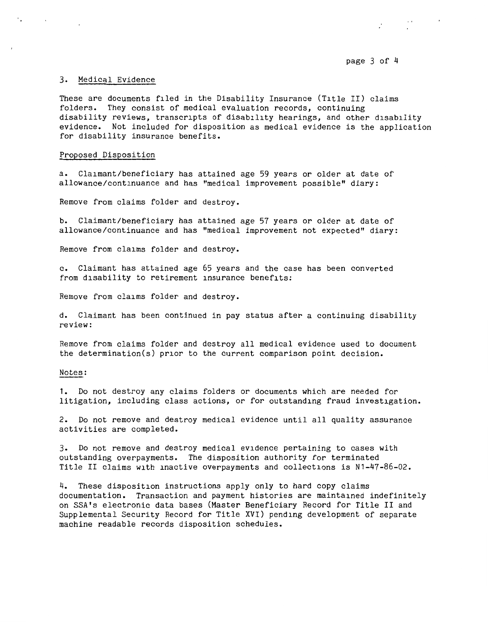$\sim$   $\epsilon$ 

### 3. Medical Evidence

These are documents filed in the Disability Insurance (Title II) claims folders. They consist of medical evaluation records, continuing disability reviews, transcripts of disability hearings, and other disability evidence. Not included for disposition as medical evidence is the application for disability insurance benefits.

## Proposed Disposition

a. Claimant/beneficiary has attained age 59 years or older at date of allowance/continuance and has "medical improvement possible" diary:

Remove from claims folder and destroy.

b. Claimant/beneficiary has attained age 57 years or older at date of allowance/continuance and has "medical improvement not expected" diary:

Remove from claims folder and destroy.

c. Claimant has attained age 65 years and the case has been converted from disability to retirement insurance benefits:

Remove from claims folder and destroy.

d. Claimant has been continued in pay status after a continuing disability review:

Remove from claims folder and destroy all medical evidence used to document the determination(s) prior to the current comparison point decision.

### Notes:

1. Do not destroy any claims folders or documents which are needed for litigation, including class actions, or for outstanding fraud investigation.

2. Do not remove and destroy medical evidence until all quality assurance activities are completed.

3. Do not remove and destroy medical evidence pertaining to cases with outstanding overpayments. The disposition authority for terminated Title II claims with inactive overpayments and collections is Nl-47-86-02.

4. These disposition instructions apply only to hard copy claims documentation. Transaction and payment histories are maintained indefinitely on SSA's electronic data bases (Master Beneficiary Record for Title II and Supplemental Security Record for Title XVI) pending development of separate machine readable records disposition schedules.